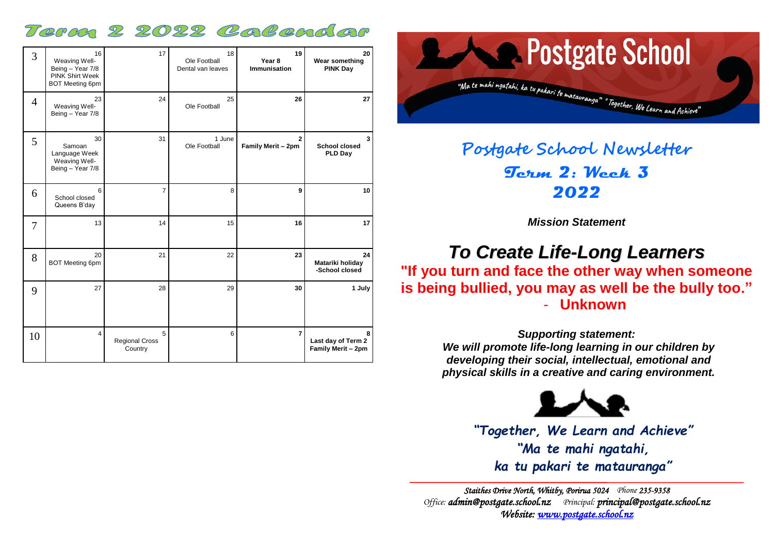# Term 2 2022 Colendor

| 3              | 16<br>Weaving Well-<br>Being - Year 7/8<br>PINK Shirt Week<br><b>BOT Meeting 6pm</b> | 17                                    | 18<br>Ole Football<br>Dental van leaves | 19<br>Year <sub>8</sub><br><b>Immunisation</b> | 20<br>Wear something<br><b>PINK Day</b>       |
|----------------|--------------------------------------------------------------------------------------|---------------------------------------|-----------------------------------------|------------------------------------------------|-----------------------------------------------|
| $\overline{4}$ | 23<br>Weaving Well-<br>Being - Year 7/8                                              | 24                                    | 25<br>Ole Football                      | 26                                             | 27                                            |
| 5              | 30<br>Samoan<br>Language Week<br>Weaving Well-<br>Being - Year 7/8                   | 31                                    | 1 June<br>Ole Football                  | $\overline{2}$<br>Family Merit - 2pm           | 3<br><b>School closed</b><br><b>PLD Day</b>   |
| 6              | 6<br>School closed<br>Queens B'day                                                   | $\overline{7}$                        | 8                                       | 9                                              | 10                                            |
| 7              | 13                                                                                   | 14                                    | 15                                      | 16                                             | 17                                            |
| 8              | 20<br><b>BOT Meeting 6pm</b>                                                         | 21                                    | 22                                      | 23                                             | 24<br>Matariki holiday<br>-School closed      |
| 9              | 27                                                                                   | 28                                    | 29                                      | 30                                             | 1 July                                        |
| 10             | $\overline{\mathbf{4}}$                                                              | 5<br><b>Regional Cross</b><br>Country | 6                                       | $\overline{7}$                                 | 8<br>Last day of Term 2<br>Family Merit - 2pm |



# **Postgate School Newsletter Term 2: Week 3 2022**

*Mission Statement*

# *To Create Life-Long Learners*

**"If you turn and face the other way when someone is being bullied, you may as well be the bully too."** - **Unknown**

> *Supporting statement: We will promote life-long learning in our children by developing their social, intellectual, emotional and physical skills in a creative and caring environment.*



*"Together, We Learn and Achieve" "Ma te mahi ngatahi, ka tu pakari te matauranga"*

*Staithes Drive North, Whitby, Porirua 5024 Phone 235-9358 Office: [admin@postgate.school.nz](mailto:admin@postgate.school.nz) Principal: [principal@postgate.school.nz](mailto:principal@postgate.school.nz)  Website: [www.postgate.school.nz](http://www.postgate.school.nz/)*